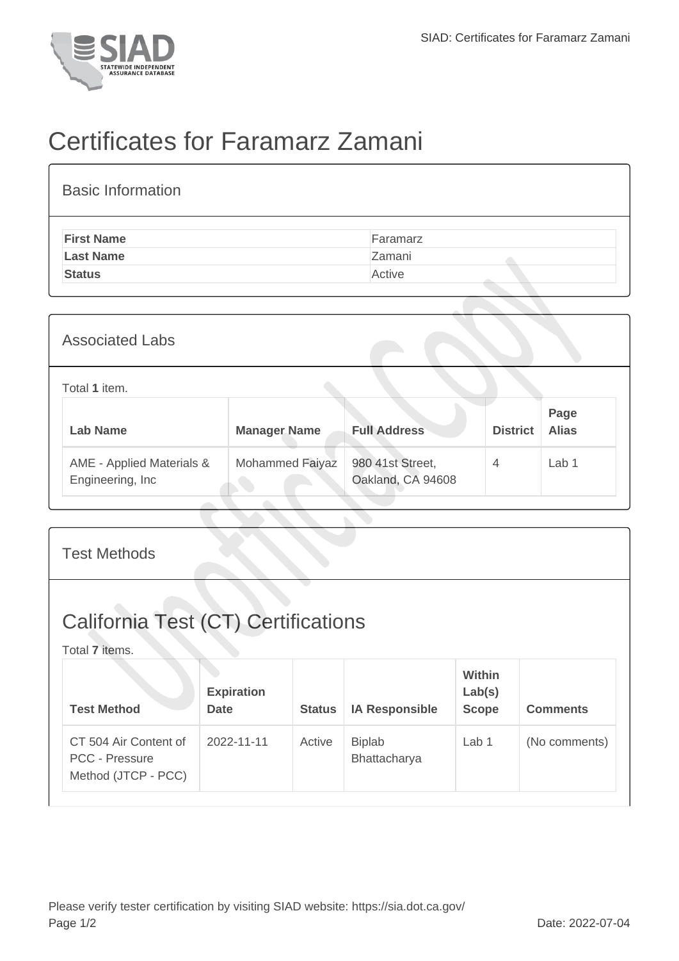

## Certificates for Faramarz Zamani

| <b>Basic Information</b> |          |
|--------------------------|----------|
| <b>First Name</b>        | Faramarz |
| <b>Last Name</b>         | Zamani   |
| <b>Status</b>            | Active   |

| <b>Associated Labs</b>                         |                     |                                       |                 |                      |
|------------------------------------------------|---------------------|---------------------------------------|-----------------|----------------------|
| Total 1 item.                                  |                     |                                       |                 |                      |
| <b>Lab Name</b>                                | <b>Manager Name</b> | <b>Full Address</b>                   | <b>District</b> | Page<br><b>Alias</b> |
| AME - Applied Materials &<br>Engineering, Inc. | Mohammed Faiyaz     | 980 41st Street,<br>Oakland, CA 94608 | $\overline{4}$  | Lab <sub>1</sub>     |

| <b>Test Methods</b>                                                   |                                  |               |                               |                                         |                 |
|-----------------------------------------------------------------------|----------------------------------|---------------|-------------------------------|-----------------------------------------|-----------------|
| <b>California Test (CT) Certifications</b><br>Total 7 items.          |                                  |               |                               |                                         |                 |
| <b>Test Method</b>                                                    | <b>Expiration</b><br><b>Date</b> | <b>Status</b> | <b>IA Responsible</b>         | <b>Within</b><br>Lab(s)<br><b>Scope</b> | <b>Comments</b> |
| CT 504 Air Content of<br><b>PCC - Pressure</b><br>Method (JTCP - PCC) | 2022-11-11                       | Active        | <b>Biplab</b><br>Bhattacharya | Lab <sub>1</sub>                        | (No comments)   |